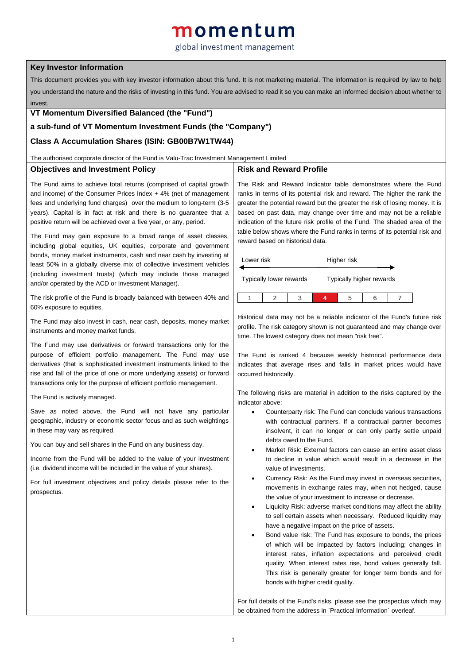## momentum

## global investment management

## **Key Investor Information**

This document provides you with key investor information about this fund. It is not marketing material. The information is required by law to help you understand the nature and the risks of investing in this fund. You are advised to read it so you can make an informed decision about whether to invest.

#### **VT Momentum Diversified Balanced (the "Fund")**

## **a sub-fund of VT Momentum Investment Funds (the "Company")**

## **Class A Accumulation Shares (ISIN: GB00B7W1TW44)**

The authorised corporate director of the Fund is Valu-Trac Investment Management Limited

#### **Objectives and Investment Policy**

## **Risk and Reward Profile**

The Fund aims to achieve total returns (comprised of capital growth and income) of the Consumer Prices Index + 4% (net of management fees and underlying fund charges) over the medium to long-term (3-5 years). Capital is in fact at risk and there is no guarantee that a positive return will be achieved over a five year, or any, period.

The Fund may gain exposure to a broad range of asset classes, including global equities, UK equities, corporate and government bonds, money market instruments, cash and near cash by investing at least 50% in a globally diverse mix of collective investment vehicles (including investment trusts) (which may include those managed and/or operated by the ACD or Investment Manager).

The risk profile of the Fund is broadly balanced with between 40% and 60% exposure to equities.

The Fund may also invest in cash, near cash, deposits, money market instruments and money market funds.

The Fund may use derivatives or forward transactions only for the purpose of efficient portfolio management. The Fund may use derivatives (that is sophisticated investment instruments linked to the rise and fall of the price of one or more underlying assets) or forward transactions only for the purpose of efficient portfolio management.

The Fund is actively managed.

Save as noted above, the Fund will not have any particular geographic, industry or economic sector focus and as such weightings in these may vary as required.

You can buy and sell shares in the Fund on any business day.

Income from the Fund will be added to the value of your investment (i.e. dividend income will be included in the value of your shares).

For full investment objectives and policy details please refer to the prospectus.

The Risk and Reward Indicator table demonstrates where the Fund ranks in terms of its potential risk and reward. The higher the rank the greater the potential reward but the greater the risk of losing money. It is based on past data, may change over time and may not be a reliable indication of the future risk profile of the Fund. The shaded area of the table below shows where the Fund ranks in terms of its potential risk and reward based on historical data.

| Lower risk                     |  |  | Higher risk              |    |   |  |
|--------------------------------|--|--|--------------------------|----|---|--|
| <b>Typically lower rewards</b> |  |  | Typically higher rewards |    |   |  |
|                                |  |  |                          | ٠h | ค |  |

Historical data may not be a reliable indicator of the Fund's future risk profile. The risk category shown is not guaranteed and may change over time. The lowest category does not mean "risk free".

The Fund is ranked 4 because weekly historical performance data indicates that average rises and falls in market prices would have occurred historically.

The following risks are material in addition to the risks captured by the indicator above:

- Counterparty risk: The Fund can conclude various transactions with contractual partners. If a contractual partner becomes insolvent, it can no longer or can only partly settle unpaid debts owed to the Fund.
- Market Risk: External factors can cause an entire asset class to decline in value which would result in a decrease in the value of investments.
- Currency Risk: As the Fund may invest in overseas securities, movements in exchange rates may, when not hedged, cause the value of your investment to increase or decrease.
- Liquidity Risk: adverse market conditions may affect the ability to sell certain assets when necessary. Reduced liquidity may have a negative impact on the price of assets.
- Bond value risk: The Fund has exposure to bonds, the prices of which will be impacted by factors including; changes in interest rates, inflation expectations and perceived credit quality. When interest rates rise, bond values generally fall. This risk is generally greater for longer term bonds and for bonds with higher credit quality.

For full details of the Fund's risks, please see the prospectus which may be obtained from the address in `Practical Information` overleaf.